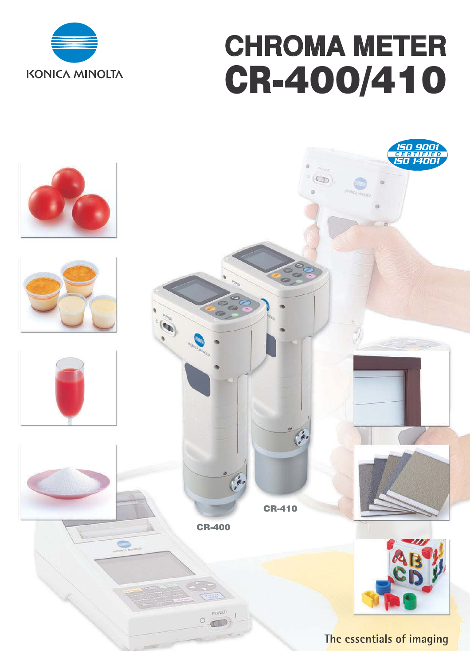

# **CHROMA METER CR-400/410**

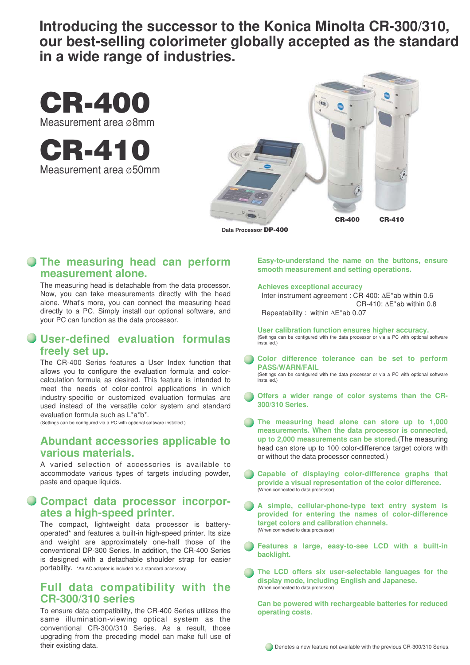**Introducing the successor to the Konica Minolta CR-300/310, our best-selling colorimeter globally accepted as the standard in a wide range of industries.**



**CR-410** Measurement area ø50mm



**Data Processor DP-400**

#### **The measuring head can perform measurement alone.**

The measuring head is detachable from the data processor. Now, you can take measurements directly with the head alone. What's more, you can connect the measuring head directly to a PC. Simply install our optional software, and your PC can function as the data processor.

## **User-defined evaluation formulas freely set up.**

The CR-400 Series features a User Index function that allows you to configure the evaluation formula and colorcalculation formula as desired. This feature is intended to meet the needs of color-control applications in which industry-specific or customized evaluation formulas are used instead of the versatile color system and standard evaluation formula such as L\*a\*b\*.

(Settings can be configured via a PC with optional software installed.)

### **Abundant accessories applicable to various materials.**

A varied selection of accessories is available to accommodate various types of targets including powder, paste and opaque liquids.

### **Compact data processor incorporates a high-speed printer.**

The compact, lightweight data processor is batteryoperated\* and features a built-in high-speed printer. Its size and weight are approximately one-half those of the conventional DP-300 Series. In addition, the CR-400 Series is designed with a detachable shoulder strap for easier portability. \*An AC adapter is included as a standard accessory.

### **Full data compatibility with the CR-300/310 series**

To ensure data compatibility, the CR-400 Series utilizes the same illumination-viewing optical system as the conventional CR-300/310 Series. As a result, those upgrading from the preceding model can make full use of their existing data.

**Easy-to-understand the name on the buttons, ensure smooth measurement and setting operations.**

**Achieves exceptional accuracy**

 Inter-instrument agreement : CR-400: ∆E\*ab within 0.6 CR-410: ∆E\*ab within 0.8

Repeatability : within ∆E\*ab 0.07

**User calibration function ensures higher accuracy.** (Settings can be configured with the data processor or via a PC with optional software installed.)

- **Color difference tolerance can be set to perform PASS/WARN/FAIL** (Settings can be configured with the data processor or via a PC with optional software installed.)
- **Offers a wider range of color systems than the CR-300/310 Series.**
- **The measuring head alone can store up to 1,000 measurements. When the data processor is connected, up to 2,000 measurements can be stored.**(The measuring head can store up to 100 color-difference target colors with or without the data processor connected.)
- **Capable of displaying color-difference graphs that provide a visual representation of the color difference.** (When connected to data processor)
- **A simple, cellular-phone-type text entry system is provided for entering the names of color-difference target colors and calibration channels.** (When connected to data processor)
- **Features a large, easy-to-see LCD with a built-in backlight.**
- **The LCD offers six user-selectable languages for the display mode, including English and Japanese.** (When connected to data processor)

**Can be powered with rechargeable batteries for reduced operating costs.**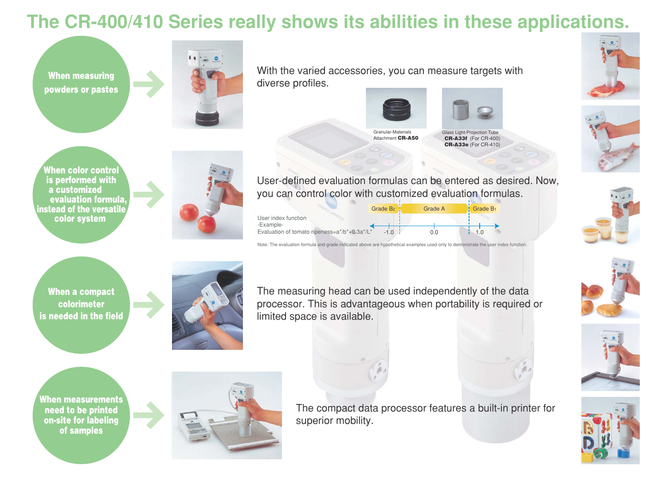**When measuring powders or pastes**



**When color control is performed with a customized evaluation formula, instead of the versatile color system** 



**When a compact colorimeter is needed in the field**



User index function User-defined evaluation formulas can be entered as desired. Now, you can control color with customized evaluation formulas. Grade B<sub>2</sub> **Grade A** Grade B<sub>1</sub>





Granular-Materials Attachment **CR-A50**



The compact data processor features a built-in printer for superior mobility.



















Note: The evaluation formula and grade indicated above are hypothetical examples used only to demonstrate the user index function.

With the varied accessories, you can measure targets with diverse profiles.





|                                                     | Grade B <sub>2</sub> | <b>Grade A</b> | Grade B <sub>1</sub> |
|-----------------------------------------------------|----------------------|----------------|----------------------|
| User index function                                 |                      |                |                      |
| -Example-                                           |                      |                |                      |
| Evaluation of tomato ripeness= $a^*/b^*+0.3a^*/L^*$ |                      |                |                      |

The measuring head can be used independently of the data processor. This is advantageous when portability is required or limited space is available.

## **The CR-400/410 Series really shows its abilities in these applications.**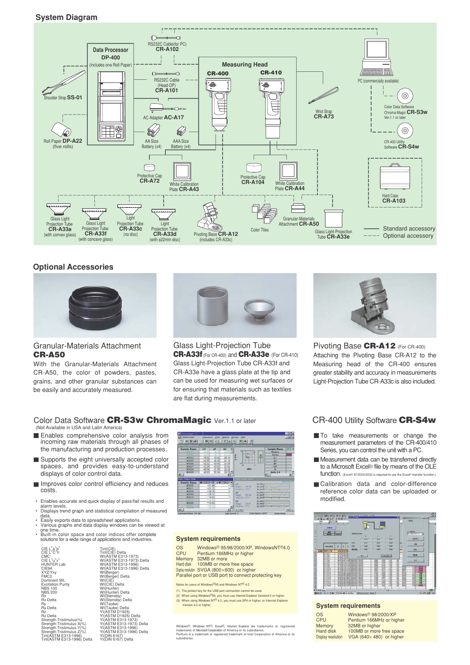#### **System Diagram**



#### **Optional Accessories**



#### Granular-Materials Attachment **CR-A50**

With the Granular-Materials Attachment CR-A50, the color of powders, pastes, grains, and other granular substances can be easily and accurately measured.



Glass Light-Projection Tube **CR-A33f** (For CR-400) and **CR-A33e** (For CR-410) Glass Light-Projection Tube CR-A33f and CR-A33e have a glass plate at the tip and can be used for measuring wet surfaces or for ensuring that materials such as textiles are flat during measurements.



Pivoting Base **CR-A12** (For CR-400) Attaching the Pivoting Base CR-A12 to the Measuring head of the CR-400 ensures greater stability and accuracy in measurements Light-Projection Tube CR-A33c is also included.

#### Color Data Software **CR-S3w ChromaMagic** Ver.1.1 or later CR-400 Utility Software **CR-S4w**

(Not Available in USA and Latin America)

- **Enables comprehensive color analysis from** incoming raw materials through all phases of the manufacturing and production processes.
- Supports the eight universally accepted color spaces, and provides easy-to-understand displays of color control data.
- **Improves color control efficiency and reduces** costs.
- Enables accurate and quick display of pass/fail results and
- alarm levels. Displays trend graph and statistical compilation of measured data.
- Easily exports data to spreadsheet applications. Various graphs and data display windows can be viewed at
- one time. Built-in color space and color indices offer complete solutions for a wide range of applications and industries.

CIE L\*a\*b\*<br>CIE L\*C\*h<br>CIE L\*u\*v\*<br>CIE L\*u\*v\*<br>HUNTER Lab<br>CIE94<br>XYZ/Yxy<br>Dominant WL<br>Dominant WL<br>Excitation Purity NBS 100 NBS 200 Rx Rx Delta Ry<br>Rz<br>Rz Delta<br>Strength:Tristimulus(%)<br>Strength:Tristimulus X(%)<br>Strength:Tristimulus Z(%)<br>Strength:Tristimulus Z(%)<br>Tint(ASTM E313-1996) Delta<br>Tint(ASTM E313-1996) Delta



#### **System requirements**

OS Windows<sup>®</sup> 95/98/2000/XP, WindowsNT<sup>®</sup>4.0 CPU Pentium 166MHz or higher<br>Memory 32MB or more Memory 32MB or more<br>Hard disk 100MB or more Hard disk 100MB or more free space Display resolution SVGA (800×600) or higher Parallel port or USB port to connect protecting key

Notes for users of Windows®95 and Windows NT® 4.0 (1) The protect key for the USB port connection cannot be used.

(2) When using Windows®95, you must use Internet Explorer Version4.0 or higher.<br>
(3) When using Windows NT<sup>® 4.0,</sup> you must use SP4 or higher, or Internet Explorer **System requirements** 

Windows<sup>®</sup>, Windows NT<sup>®</sup>, Excel<sup>®</sup>, Internet Explorer are trademarks or registered<br>trademarks of MicrosoftCorporation of America or its subsidiaries.<br>Pentium is a trademark or registered trademark of Intel Corporation of subsidiaries.

- $\blacksquare$  To take measurements or change the measurement parameters of the CR-400/410 Series, you can control the unit with a PC.
- Measurement data can be transferred directly to a Microsoft Excel® file by means of the OLE function. (Excel® 97/2000/2002 is req
- Calibration data and color-difference reference color data can be uploaded or modified.



| Windows <sup>®</sup> 98/2000/XP  |
|----------------------------------|
| Pentium 166MHz or higher         |
| 32MB or higher                   |
| 100MB or more free space         |
| VGA (640 $\times$ 480) or higher |
|                                  |